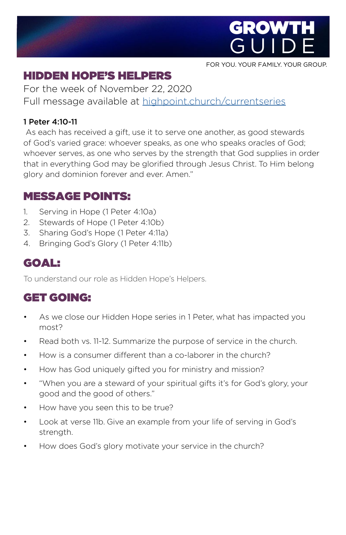

FOR YOU. YOUR FAMILY. YOUR GROUP.

# HIDDEN HOPE'S HELPERS

For the week of November 22, 2020 Full message available at [highpoint.church/currentseries](http://highpoint.church/currentseries)

#### 1 Peter 4:10-11

 As each has received a gift, use it to serve one another, as good stewards of God's varied grace: whoever speaks, as one who speaks oracles of God; whoever serves, as one who serves by the strength that God supplies in order that in everything God may be glorified through Jesus Christ. To Him belong glory and dominion forever and ever. Amen."

### MESSAGE POINTS:

- 1. Serving in Hope (1 Peter 4:10a)
- 2. Stewards of Hope (1 Peter 4:10b)
- 3. Sharing God's Hope (1 Peter 4:11a)
- 4. Bringing God's Glory (1 Peter 4:11b)

#### GOAL:

To understand our role as Hidden Hope's Helpers.

### GET GOING:

- As we close our Hidden Hope series in 1 Peter, what has impacted you most?
- Read both vs. 11-12. Summarize the purpose of service in the church.
- How is a consumer different than a co-laborer in the church?
- How has God uniquely gifted you for ministry and mission?
- "When you are a steward of your spiritual gifts it's for God's glory, your good and the good of others."
- How have you seen this to be true?
- Look at verse 11b. Give an example from your life of serving in God's strength.
- How does God's glory motivate your service in the church?